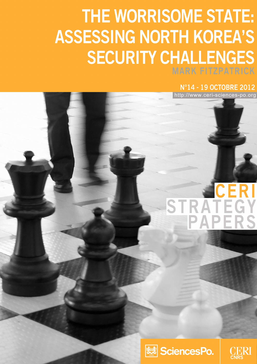## THE WORRISOME STATE: **ASSESSING NORTH KOREA'S SECURITY CHALLENGES**

N°14 - 19 OCTOBRE 2012

http://www.ceri-sciences-po.org

# **STRATE**



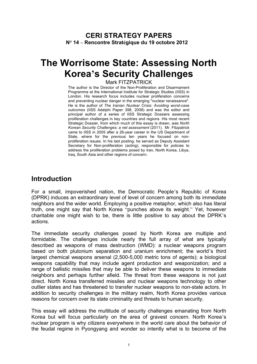#### **CERI STRATEGY PAPERS N° 14 – Rencontre Stratégique du 19 octobre 2012**

### **The Worrisome State: Assessing North Korea's Security Challenges**

#### Mark FITZPATRICK

The author is the Director of the Non-Proliferation and Disarmament Programme at the International Institute for Strategic Studies (IISS) in London. His research focus includes nuclear proliferation concerns and preventing nuclear danger in the emerging "nuclear renaissance". He is the author of *The Iranian Nuclear Crisis: Avoiding worst-case outcomes* (IISS Adelphi Paper 398, 2008) and was the editor and principal author of a series of IISS Strategic Dossiers assessing proliferation challenges in key countries and regions. His most recent Strategic Dossier, from which much of this essay is drawn, was *North Korean Security Challenges: a net assessment* (2011). Mr. Fitzpatrick came to IISS in 2005 after a 26-year career in the US Department of State, where for the previous ten years he focused on nonproliferation issues. In his last posting, he served as Deputy Assistant Secretary for Non-proliferation (acting), responsible for policies to address the proliferation problems posed by Iran, North Korea, Libya, Iraq, South Asia and other regions of concern.

#### **Introduction**

For a small, impoverished nation, the Democratic People's Republic of Korea (DPRK) induces an extraordinary level of level of concern among both its immediate neighbors and the wider world. Employing a positive metaphor, which also has literal truth, one might say that North Korea "punches above its weight." Yet, however charitable one might wish to be, there is little positive to say about the DPRK's actions.

The immediate security challenges posed by North Korea are multiple and formidable. The challenges include nearly the full array of what are typically described as weapons of mass destruction (WMD): a nuclear weapons program based on both plutonium separation and uranium enrichment; the world's third largest chemical weapons arsenal (2,500-5,000 metric tons of agents); a biological weapons capability that may include agent production and weaponization; and a range of ballistic missiles that may be able to deliver these weapons to immediate neighbors and perhaps further afield. The threat from these weapons is not just direct. North Korea transferred missiles and nuclear weapons technology to other outlier states and has threatened to transfer nuclear weapons to non-state actors. In addition to security challenges in the military realm, North Korea provides various reasons for concern over its state criminality and threats to human security.

This essay will address the multitude of security challenges emanating from North Korea but will focus particularly on the area of gravest concern. North Korea's nuclear program is why citizens everywhere in the world care about the behavior of the feudal regime in Pyongyang and wonder so intently what is to become of the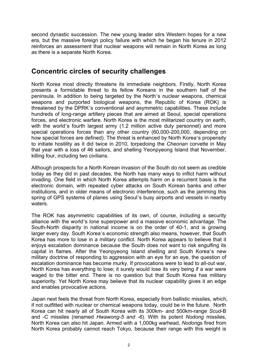second dynastic succession. The new young leader stirs Western hopes for a new era, but the massive foreign policy failure with which he began his tenure in 2012 reinforces an assessment that nuclear weapons will remain in North Korea as long as there is a separate North Korea.

#### **Concentric circles of security challenges**

North Korea most directly threatens its immediate neighbors. Firstly, North Korea presents a formidable threat to its fellow Koreans in the southern half of the peninsula. In addition to being targeted by the North's nuclear weapons, chemical weapons and purported biological weapons, the Republic of Korea (ROK) is threatened by the DPRK's conventional and asymmetric capabilities. These include hundreds of long-range artillery pieces that are aimed at Seoul, special operations forces, and electronic warfare. North Korea is the most militarized country on earth, with the world's fourth largest army (1.2 million active duty personnel) and more special operations forces than any other country (60,000-200,000, depending on how special forces are defined). The threat is enhanced by North Korea's propensity to initiate hostility as it did twice in 2010, torpedoing the *Cheonan* corvette in May that year with a loss of 46 sailors, and shelling Yeonpyeong Island that November, killing four, including two civilians.

Although prospects for a North Korean invasion of the South do not seem as credible today as they did in past decades, the North has many ways to inflict harm without invading. One field in which North Korea attempts harm on a recurrent basis is the electronic domain, with repeated cyber attacks on South Korean banks and other institutions, and in older means of electronic interference, such as the jamming this spring of GPS systems of planes using Seoul's busy airports and vessels in nearby waters.

The ROK has asymmetric capabilities of its own, of course, including a security alliance with the world's lone superpower and a massive economic advantage. The South-North disparity in national income is on the order of 40-1, and is growing larger every day. South Korea's economic strength also means, however, that South Korea has more to lose in a military conflict. North Korea appears to believe that it enjoys escalation dominance because the South does not want to risk engulfing its capital in flames. After the Yeonpyeong Island shelling and South Korea's new military doctrine of responding to aggression with an eye for an eye, the question of escalation dominance has become murky. If provocations were to lead to all-out war, North Korea has everything to lose; it surely would lose its very being if a war were waged to the bitter end. There is no question but that South Korea has military superiority. Yet North Korea may believe that its nuclear capability gives it an edge and enables provocative actions.

Japan next feels the threat from North Korea, especially from ballistic missiles, which, if not outfitted with nuclear or chemical weapons today, could be in the future. North Korea can hit nearly all of South Korea with its 300km- and 500km-range *Scud*-B and -C missiles (renamed *Hwawong-5 and -6*). With its potent *Nodong* missiles, North Korea can also hit Japan. Armed with a 1,000kg warhead, *Nodon*gs fired from North Korea probably cannot reach Tokyo, because their range with this weight is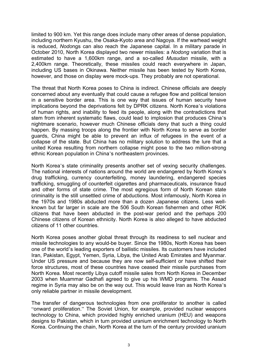limited to 900 km. Yet this range does include many other areas of dense population, including northern Kyushu, the Osaka-Kyoto area and Nagoya. If the warhead weight is reduced, *Nodo*ngs can also reach the Japanese capital. In a military parade in October 2010, North Korea displayed two newer missiles: a *Nodong* variation that is estimated to have a 1,600km range, and a so-called *Musudan* missile, with a 2,400km range. Theoretically, these missiles could reach everywhere in Japan, including US bases in Okinawa. Neither missile has been tested by North Korea, however, and those on display were mock-ups. They probably are not operational.

The threat that North Korea poses to China is indirect. Chinese officials are deeply concerned about any eventually that could cause a refugee flow and political tension in a sensitive border area. This is one way that issues of human security have implications beyond the deprivations felt by DPRK citizens. North Korea's violations of human rights, and inability to feed its people, along with the contradictions that stem from inherent systematic flaws, could lead to implosion that produces China's nightmare scenario, however much Chinese officials deny that such a thing could happen. By massing troops along the frontier with North Korea to serve as border guards, China might be able to prevent an influx of refugees in the event of a collapse of the state. But China has no military solution to address the lure that a united Korea resulting from northern collapse might pose to the two million-strong ethnic Korean population in China's northeastern provinces.

North Korea's state criminality presents another set of vexing security challenges. The national interests of nations around the world are endangered by North Korea's drug trafficking, currency counterfeiting, money laundering, endangered species trafficking, smuggling of counterfeit cigarettes and pharmaceuticals, insurance fraud and other forms of state crime. The most egregious form of North Korean state criminality is the still unsettled crime of abductions. Most infamously, North Korea in the 1970s and 1980s abducted more than a dozen Japanese citizens. Less wellknown but far larger in scale are the 506 South Korean fishermen and other ROK citizens that have been abducted in the post-war period and the perhaps 200 Chinese citizens of Korean ethnicity. North Korea is also alleged to have abducted citizens of 11 other countries.

North Korea poses another global threat through its readiness to sell nuclear and missile technologies to any would-be buyer. Since the 1980s, North Korea has been one of the world's leading exporters of ballistic missiles. Its customers have included Iran, Pakistan, Egypt, Yemen, Syria, Libya, the United Arab Emirates and Myanmar. Under US pressure and because they are now self-sufficient or have shifted their force structures, most of these countries have ceased their missile purchases from North Korea. Most recently Libya cutoff missile sales from North Korea in December 2003 when Muammar Gadhafi agreed to give up his WMD programs. The Assad regime in Syria may also be on the way out. This would leave Iran as North Korea's only reliable partner in missile development.

The transfer of dangerous technologies from one proliferator to another is called "onward proliferation." The Soviet Union, for example, provided nuclear weapons technology to China, which provided highly enriched uranium (HEU) and weapons designs to Pakistan, which in turn provided uranium enrichment technology to North Korea. Continuing the chain, North Korea at the turn of the century provided uranium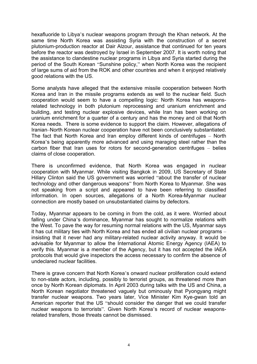hexafluoride to Libya's nuclear weapons program through the Khan network. At the same time North Korea was assisting Syria with the construction of a secret plutonium-production reactor at Dair Alzour, assistance that continued for ten years before the reactor was destroyed by Israel in September 2007. It is worth noting that the assistance to clandestine nuclear programs in Libya and Syria started during the period of the South Korean "Sunshine policy," when North Korea was the recipient of large sums of aid from the ROK and other countries and when it enjoyed relatively good relations with the US.

Some analysts have alleged that the extensive missile cooperation between North Korea and Iran in the missile programs extends as well to the nuclear field. Such cooperation would seem to have a compelling logic: North Korea has weaponsrelated technology in both plutonium reprocessing and uranium enrichment and building, and testing nuclear explosive devices, while Iran has been working on uranium enrichment for a quarter of a century and has the money and oil that North Korea needs. There is some evidence to support the claim. However, allegations of Iranian–North Korean nuclear cooperation have not been conclusively substantiated. The fact that North Korea and Iran employ different kinds of centrifuges – North Korea's being apparently more advanced and using maraging steel rather than the carbon fiber that Iran uses for rotors for second-generation centrifuges – belies claims of close cooperation.

There is unconfirmed evidence, that North Korea was engaged in nuclear cooperation with Myanmar. While visiting Bangkok in 2009, US Secretary of State Hillary Clinton said the US government was worried "about the transfer of nuclear technology and other dangerous weapons" from North Korea to Myanmar. She was not speaking from a script and appeared to have been referring to classified information. In open sources, allegations of a North Korea-Myanmar nuclear connection are mostly based on unsubstantiated claims by defectors.

Today, Myanmar appears to be coming in from the cold, as it were. Worried about falling under China's dominance, Myanmar has sought to normalize relations with the West. To pave the way for resuming normal relations with the US, Myanmar says it has cut military ties with North Korea and has ended all civilian nuclear programs – insisting that it never had any military-related nuclear activity anyway. It would be advisable for Myanmar to allow the International Atomic Energy Agency (IAEA) to verify this. Myanmar is a member of the Agency, but it has not accepted the IAEA protocols that would give inspectors the access necessary to confirm the absence of undeclared nuclear facilities.

There is grave concern that North Korea's onward nuclear proliferation could extend to non-state actors, including, possibly to terrorist groups, as threatened more than once by North Korean diplomats. In April 2003 during talks with the US and China, a North Korean negotiator threatened vaguely but ominously that Pyongyang might transfer nuclear weapons. Two years later, Vice Minister Kim Kye-gwan told an American reporter that the US "should consider the danger that we could transfer nuclear weapons to terrorists". Given North Korea's record of nuclear weaponsrelated transfers, those threats cannot be dismissed.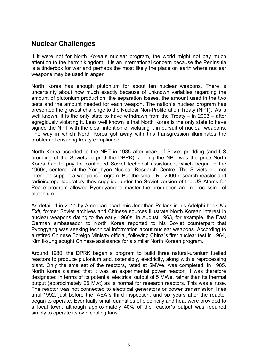#### **Nuclear Challenges**

If it were not for North Korea's nuclear program, the world might not pay much attention to the hermit kingdom. It is an international concern because the Peninsula is a tinderbox for war and perhaps the most likely the place on earth where nuclear weapons may be used in anger.

North Korea has enough plutonium for about ten nuclear weapons. There is uncertainty about how much exactly because of unknown variables regarding the amount of plutonium production, the separation losses, the amount used in the two tests and the amount needed for each weapon. The nation's nuclear program has presented the gravest challenge to the Nuclear Non-Proliferation Treaty (NPT). As is well known, it is the only state to have withdrawn from the Treaty – in 2003 – after egregiously violating it. Less well known is that North Korea is the only state to have signed the NPT with the clear intention of violating it in pursuit of nuclear weapons. The way in which North Korea got away with this transgression illuminates the problem of ensuring treaty compliance.

North Korea acceded to the NPT in 1985 after years of Soviet prodding (and US prodding of the Soviets to prod the DPRK). Joining the NPT was the price North Korea had to pay for continued Soviet technical assistance, which began in the 1960s, centered at the Yongbyon Nuclear Research Centre. The Soviets did not intend to support a weapons program. But the small IRT-2000 research reactor and radioisotope laboratory they supplied under the Soviet version of the US Atoms for Peace program allowed Pyongyang to master the production and reprocessing of plutonium.

As detailed in 2011 by American academic Jonathan Pollack in his Adelphi book *No Exit*, former Soviet archives and Chinese sources illustrate North Korean interest in nuclear weapons dating to the early 1960s. In August 1963, for example, the East German ambassador to North Korea reported to his Soviet counterpart that Pyongyang was seeking technical information about nuclear weapons. According to a retired Chinese Foreign Ministry official, following China's first nuclear test in 1964, Kim Il-sung sought Chinese assistance for a similar North Korean program.

Around 1980, the DPRK began a program to build three natural-uranium fuelled reactors to produce plutonium and, ostensibly, electricity, along with a reprocessing plant. Only the smallest of the reactors, rated at 5MWe, was completed, in 1985. North Korea claimed that it was an experimental power reactor. It was therefore designated in terms of its potential electrical output of 5 MWe, rather than its thermal output (approximately 25 Mwt) as is normal for research reactors. This was a ruse. The reactor was not connected to electrical generators or power transmission lines until 1992, just before the IAEA's third inspection, and six years after the reactor began to operate. Eventually small quantities of electricity and heat were provided to a local town, although approximately 40% of the reactor's output was required simply to operate its own cooling fans.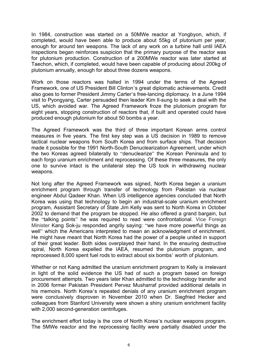In 1984, construction was started on a 50MWe reactor at Yongbyon, which, if completed, would have been able to produce about 55kg of plutonium per year, enough for around ten weapons. The lack of any work on a turbine hall until IAEA inspections began reinforces suspicion that the primary purpose of the reactor was for plutonium production. Construction of a 200MWe reactor was later started at Taechon, which, if completed, would have been capable of producing about 200kg of plutonium annually, enough for about three dozens weapons.

Work on those reactors was halted in 1994 under the terms of the Agreed Framework, one of US President Bill Clinton's great diplomatic achievements. Credit also goes to former President Jimmy Carter's free-lancing diplomacy. In a June 1994 visit to Pyongyang, Carter persuaded then leader Kim Il-sung to seek a deal with the US, which avoided war. The Agreed Framework froze the plutonium program for eight years, stopping construction of reactors that, if built and operated could have produced enough plutonium for about 50 bombs a year.

The Agreed Framework was the third of three important Korean arms control measures in five years. The first key step was a US decision in 1989 to remove tactical nuclear weapons from South Korea and from surface ships. That decision made it possible for the 1991 North-South Denuclearization Agreement, under which the two Koreas agreed bilaterally to "denuclearize" the Korean Peninsula and to each forgo uranium enrichment and reprocessing. Of these three measures, the only one to survive intact is the unilateral step the US took in withdrawing nuclear weapons.

Not long after the Agreed Framework was signed, North Korea began a uranium enrichment program through transfer of technology from Pakistan via nuclear engineer Abdul Qadeer Khan. When US intelligence agencies concluded that North Korea was using that technology to begin an industrial-scale uranium enrichment program, Assistant Secretary of State Jim Kelly was sent to North Korea in October 2002 to demand that the program be stopped. He also offered a grand bargain, but the "talking points" he was required to read were confrontational. Vice Foreign Minister Kang Sok-ju responded angrily saying: "we have more powerful things as well" which the Americans interpreted to mean an acknowledgment of enrichment. He might have meant that North Korea had the power of a people united in support of their great leader. Both sides overplayed their hand. In the ensuring destructive spiral, North Korea expelled the IAEA, resumed the plutonium program, and reprocessed 8,000 spent fuel rods to extract about six bombs' worth of plutonium.

Whether or not Kang admitted the uranium enrichment program to Kelly is irrelevant in light of the solid evidence the US had of such a program based on foreign procurement attempts. Two years later Khan admitted to the technology transfer and in 2006 former Pakistan President Pervez Musharraf provided additional details in his memoirs. North Korea's repeated denials of any uranium enrichment program were conclusively disproven in November 2010 when Dr. Siegfried Hecker and colleagues from Stanford University were shown a shiny uranium enrichment facility with 2,000 second-generation centrifuges.

The enrichment effort today is the core of North Korea's nuclear weapons program. The 5MWe reactor and the reprocessing facility were partially disabled under the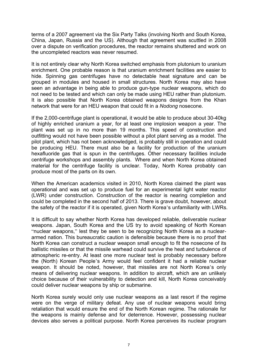terms of a 2007 agreement via the Six Party Talks (involving North and South Korea, China, Japan, Russia and the US). Although that agreement was scuttled in 2008 over a dispute on verification procedures, the reactor remains shuttered and work on the uncompleted reactors was never resumed.

It is not entirely clear why North Korea switched emphasis from plutonium to uranium enrichment. One probable reason is that uranium enrichment facilities are easier to hide. Spinning gas centrifuges have no detectable heat signature and can be grouped in modules and housed in small structures. North Korea may also have seen an advantage in being able to produce gun-type nuclear weapons, which do not need to be tested and which can only be made using HEU rather than plutonium. It is also possible that North Korea obtained weapons designs from the Khan network that were for an HEU weapon that could fit in a *Nodong* nosecone.

If the 2,000-centrifuge plant is operational, it would be able to produce about 30-40kg of highly enriched uranium a year, for at least one implosion weapon a year. The plant was set up in no more than 19 months. This speed of construction and outfitting would not have been possible without a pilot plant serving as a model. The pilot plant, which has not been acknowledged, is probably still in operation and could be producing HEU. There must also be a facility for production of the uranium hexafluoride gas that is spun in the centrifuges. Other necessary facilities include centrifuge workshops and assembly plants. Where and when North Korea obtained material for the centrifuge facility is unclear. Today, North Korea probably can produce most of the parts on its own.

When the American academics visited in 2010, North Korea claimed the plant was operational and was set up to produce fuel for an experimental light water reactor (LWR) under construction. Construction of the reactor is nearing completion and could be completed in the second half of 2013. There is grave doubt, however, about the safety of the reactor if it is operated, given North Korea's unfamiliarity with LWRs.

It is difficult to say whether North Korea has developed reliable, deliverable nuclear weapons. Japan, South Korea and the US try to avoid speaking of North Korean "nuclear weapons," lest they be seen to be recognizing North Korea as a nucleararmed nation. This bureaucratic caution is defensible because there is no proof that North Korea can construct a nuclear weapon small enough to fit the nosecone of its ballistic missiles or that the missile warhead could survive the heat and turbulence of atmospheric re-entry. At least one more nuclear test is probably necessary before the (North) Korean People's Army would feel confident it had a reliable nuclear weapon. It should be noted, however, that missiles are not North Korea's only means of delivering nuclear weapons. In addition to aircraft, which are an unlikely choice because of their vulnerability to detection and kill, North Korea conceivably could deliver nuclear weapons by ship or submarine.

North Korea surely would only use nuclear weapons as a last resort if the regime were on the verge of military defeat. Any use of nuclear weapons would bring retaliation that would ensure the end of the North Korean regime. The rationale for the weapons is mainly defense and for deterrence. However, possessing nuclear devices also serves a political purpose. North Korea perceives its nuclear program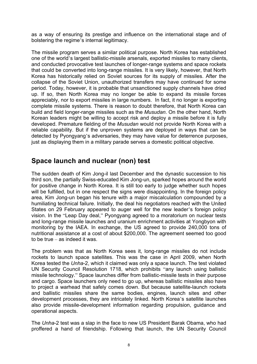as a way of ensuring its prestige and influence on the international stage and of bolstering the regime's internal legitimacy.

The missile program serves a similar political purpose. North Korea has established one of the world's largest ballistic-missile arsenals, exported missiles to many clients, and conducted provocative test launches of longer-range systems and space rockets that could be converted into long-range missiles. It is very likely, however, that North Korea has historically relied on Soviet sources for its supply of missiles. After the collapse of the Soviet Union, unauthorized transfers may have continued for some period. Today, however, it is probable that unsanctioned supply channels have dried up. If so, then North Korea may no longer be able to expand its missile forces appreciably, nor to export missiles in large numbers. In fact, it no longer is exporting complete missile systems. There is reason to doubt therefore, that North Korea can build and field longer-range missiles such as the *Musudan*. On the other hand, North Korean leaders might be willing to accept risk and deploy a missile before it is fully developed. Premature fielding of the *Musudan* would not provide North Korea with a reliable capability. But if the unproven systems are deployed in ways that can be detected by Pyongyang's adversaries, they may have value for deterrence purposes, just as displaying them in a military parade serves a domestic political objective.

#### **Space launch and nuclear (non) test**

The sudden death of Kim Jong-il last December and the dynastic succession to his third son, the partially Swiss-educated Kim Jong-un, sparked hopes around the world for positive change in North Korea. It is still too early to judge whether such hopes will be fulfilled, but in one respect the signs were disappointing. In the foreign policy area, Kim Jong-un began his tenure with a major miscalculation compounded by a humiliating technical failure. Initially, the deal his negotiators reached with the United States on 29 February appeared to auger well for the new leader's foreign policy vision. In the "Leap Day deal," Pyongyang agreed to a moratorium on nuclear tests and long-range missile launches and uranium enrichment activities at Yongbyon with monitoring by the IAEA. In exchange, the US agreed to provide 240,000 tons of nutritional assistance at a cost of about \$200,000. The agreement seemed too good to be true – as indeed it was.

The problem was that as North Korea sees it, long-range missiles do not include rockets to launch space satellites. This was the case in April 2009, when North Korea tested the *Unha*-2, which it claimed was only a space launch. The test violated UN Security Council Resolution 1718, which prohibits "any launch using ballistic missile technology." Space launches differ from ballistic-missile tests in their purpose and cargo. Space launchers only need to go up, whereas ballistic missiles also have to project a warhead that safely comes down. But because satellite-launch rockets and ballistic missiles share the same bodies, engines, launch sites and other development processes, they are intricately linked. North Korea's satellite launches also provide missile-development information regarding propulsion, guidance and operational aspects.

The *Unha*-2 test was a slap in the face to new US President Barak Obama, who had proffered a hand of friendship. Following that launch, the UN Security Council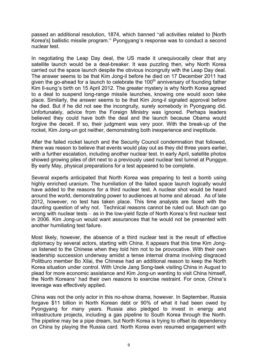passed an additional resolution, 1874, which banned "all activities related to [North Korea's] ballistic missile program." Pyongyang's response was to conduct a second nuclear test.

In negotiating the Leap Day deal, the US made it unequivocally clear that any satellite launch would be a deal-breaker. It was puzzling then, why North Korea carried out the space launch despite the obvious incongruity with the Leap Day deal. The answer seems to be that Kim Jong-il before he died on 17 December 2011 had given the go-ahead for a launch to celebrate the  $100<sup>th</sup>$  anniversary of founding father Kim Il-sung's birth on 15 April 2012. The greater mystery is why North Korea agreed to a deal to suspend long-range missile launches, knowing one would soon take place. Similarly, the answer seems to be that Kim Jong-il signaled approval before he died. But if he did not see the incongruity, surely somebody in Pyongyang did. Unfortunately, advice from the Foreign Ministry was ignored. Perhaps leaders believed they could have both the deal and the launch because Obama would forgive the deceit. If so, their judgment was very poor. With the break-up of the rocket, Kim Jong-un got neither, demonstrating both inexperience and ineptitude.

After the failed rocket launch and the Security Council condemnation that followed, there was reason to believe that events would play out as they did three years earlier, with a further escalation, including another nuclear test. In early April, satellite photos showed growing piles of dirt next to a previously used nuclear test tunnel at Punggye. By early May, physical preparations for a test appeared to be complete.

Several experts anticipated that North Korea was preparing to test a bomb using highly enriched uranium. The humiliation of the failed space launch logically would have added to the reasons for a third nuclear test. A nuclear shot would be heard around the world, demonstrating power to audiences at home and abroad. As of late 2012, however, no test has taken place. This time analysts are faced with the daunting question of why not. Technical reasons cannot be ruled out. Much can go wrong with nuclear tests – as in the low-yield fizzle of North Korea's first nuclear test in 2006. Kim Jong-un would want assurances that he would not be presented with another humiliating test failure.

Most likely, however, the absence of a third nuclear test is the result of effective diplomacy by several actors, starting with China. It appears that this time Kim Jongun listened to the Chinese when they told him not to be provocative. With their own leadership succession underway amidst a tense internal drama involving disgraced Politburo member Bo Xilai, the Chinese had an additional reason to keep the North Korea situation under control. With Uncle Jang Song-taek visiting China in August to plead for more economic assistance and Kim Jong-un wanting to visit China himself, the North Koreans' had their own reasons to exercise restraint. For once, China's leverage was effectively applied.

China was not the only actor in this no-show drama, however. In September, Russia forgave \$11 billion in North Korean debt or 90% of what it had been owed by Pyongyang for many years. Russia also pledged to invest in energy and infrastructure projects, including a gas pipeline to South Korea through the North. The pipeline may be a pipe dream, but North Korea is trying to offset its dependency on China by playing the Russia card. North Korea even resumed engagement with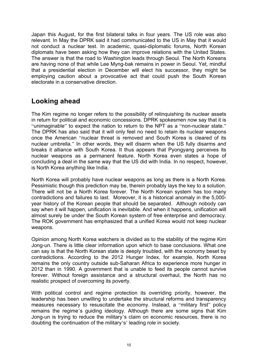Japan this August, for the first bilateral talks in four years. The US role was also relevant. In May the DPRK said it had communicated to the US in May that it would not conduct a nuclear test. In academic, quasi-diplomatic forums, North Korean diplomats have been asking how they can improve relations with the United States. The answer is that the road to Washington leads through Seoul. The North Koreans are having none of that while Lee Myng-bak remains in power in Seoul. Yet, mindful that a presidential election in December will elect his successor, they might be employing caution about a provocative act that could push the South Korean electorate in a conservative direction.

#### **Looking ahead**

The Kim regime no longer refers to the possibility of relinquishing its nuclear assets in return for political and economic concessions. DPRK spokesmen now say that it is "unimaginable" to expect the nation to return to the NPT as a "non-nuclear state." The DPRK has also said that it will only feel no need to retain its nuclear weapons once the American "nuclear threat is removed and South Korea is cleared of its nuclear umbrella." In other words, they will disarm when the US fully disarms and breaks it alliance with South Korea. It thus appears that Pyongyang perceives its nuclear weapons as a permanent feature. North Korea even states a hope of concluding a deal in the same way that the US did with India. In no respect, however, is North Korea anything like India.

North Korea will probably have nuclear weapons as long as there is a North Korea. Pessimistic though this prediction may be, therein probably lays the key to a solution. There will not be a North Korea forever. The North Korean system has too many contradictions and failures to last. Moreover, it is a historical anomaly in the 5,000 year history of the Korean people that should be separated. Although nobody can say when it will happen, unification is inevitable. And when it happens, unification will almost surely be under the South Korean system of free enterprise and democracy. The ROK government has emphasized that a unified Korea would not keep nuclear weapons.

Opinion among North Korea watchers is divided as to the stability of the regime Kim Jong-un. There is little clear information upon which to base conclusions. What one can say is that the North Korean state is deeply troubled, with the economy beset by contradictions. According to the 2012 Hunger Index, for example, North Korea remains the only country outside sub-Saharan Africa to experience more hunger in 2012 than in 1990. A government that is unable to feed its people cannot survive forever. Without foreign assistance and a structural overhaul, the North has no realistic prospect of overcoming its poverty.

With political control and regime protection its overriding priority, however, the leadership has been unwilling to undertake the structural reforms and transparency measures necessary to resuscitate the economy. Instead, a "military first" policy remains the regime's guiding ideology. Although there are some signs that Kim Jong-un is trying to reduce the military's claim on economic resources, there is no doubting the continuation of the military's' leading role in society.